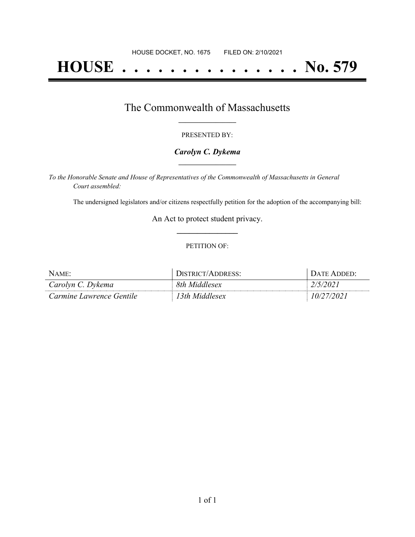# **HOUSE . . . . . . . . . . . . . . . No. 579**

## The Commonwealth of Massachusetts **\_\_\_\_\_\_\_\_\_\_\_\_\_\_\_\_\_**

#### PRESENTED BY:

#### *Carolyn C. Dykema* **\_\_\_\_\_\_\_\_\_\_\_\_\_\_\_\_\_**

*To the Honorable Senate and House of Representatives of the Commonwealth of Massachusetts in General Court assembled:*

The undersigned legislators and/or citizens respectfully petition for the adoption of the accompanying bill:

An Act to protect student privacy. **\_\_\_\_\_\_\_\_\_\_\_\_\_\_\_**

#### PETITION OF:

| <b>NAME</b>              | $\Gamma$ $\Gamma$<br>/ADDRESS: | $'$ ) a TF. |
|--------------------------|--------------------------------|-------------|
| Carolyn C. Dykema        | 8th Middlesex                  |             |
| Carmine Lawrence Gentile | 3th Middlesex                  | 202         |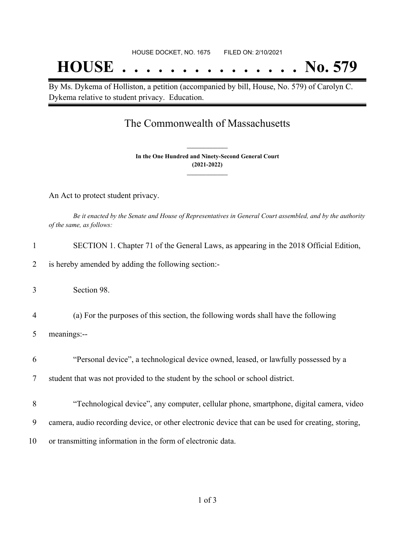## **HOUSE . . . . . . . . . . . . . . . No. 579**

By Ms. Dykema of Holliston, a petition (accompanied by bill, House, No. 579) of Carolyn C. Dykema relative to student privacy. Education.

## The Commonwealth of Massachusetts

**In the One Hundred and Ninety-Second General Court (2021-2022) \_\_\_\_\_\_\_\_\_\_\_\_\_\_\_**

**\_\_\_\_\_\_\_\_\_\_\_\_\_\_\_**

An Act to protect student privacy.

Be it enacted by the Senate and House of Representatives in General Court assembled, and by the authority *of the same, as follows:*

| 1              | SECTION 1. Chapter 71 of the General Laws, as appearing in the 2018 Official Edition,              |
|----------------|----------------------------------------------------------------------------------------------------|
| 2              | is hereby amended by adding the following section:-                                                |
| 3              | Section 98.                                                                                        |
| $\overline{4}$ | (a) For the purposes of this section, the following words shall have the following                 |
| 5              | meanings:--                                                                                        |
| 6              | "Personal device", a technological device owned, leased, or lawfully possessed by a                |
| 7              | student that was not provided to the student by the school or school district.                     |
| 8              | "Technological device", any computer, cellular phone, smartphone, digital camera, video            |
| 9              | camera, audio recording device, or other electronic device that can be used for creating, storing, |
| 10             | or transmitting information in the form of electronic data.                                        |
|                |                                                                                                    |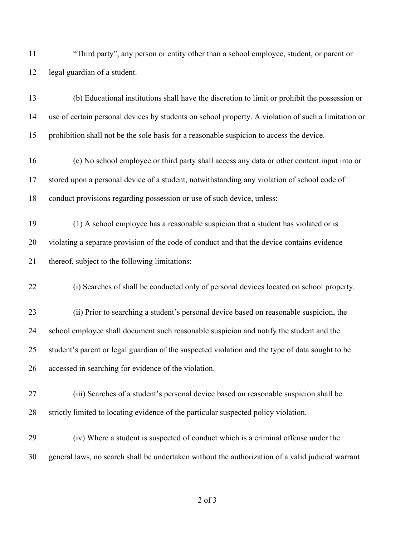| 11 | "Third party", any person or entity other than a school employee, student, or parent or |
|----|-----------------------------------------------------------------------------------------|
| 12 | legal guardian of a student.                                                            |

 (b) Educational institutions shall have the discretion to limit or prohibit the possession or use of certain personal devices by students on school property. A violation of such a limitation or prohibition shall not be the sole basis for a reasonable suspicion to access the device.

- (c) No school employee or third party shall access any data or other content input into or stored upon a personal device of a student, notwithstanding any violation of school code of conduct provisions regarding possession or use of such device, unless:
- (1) A school employee has a reasonable suspicion that a student has violated or is violating a separate provision of the code of conduct and that the device contains evidence thereof, subject to the following limitations:

(i) Searches of shall be conducted only of personal devices located on school property.

 (ii) Prior to searching a student's personal device based on reasonable suspicion, the school employee shall document such reasonable suspicion and notify the student and the student's parent or legal guardian of the suspected violation and the type of data sought to be accessed in searching for evidence of the violation.

- (iii) Searches of a student's personal device based on reasonable suspicion shall be strictly limited to locating evidence of the particular suspected policy violation.
- (iv) Where a student is suspected of conduct which is a criminal offense under the general laws, no search shall be undertaken without the authorization of a valid judicial warrant

of 3